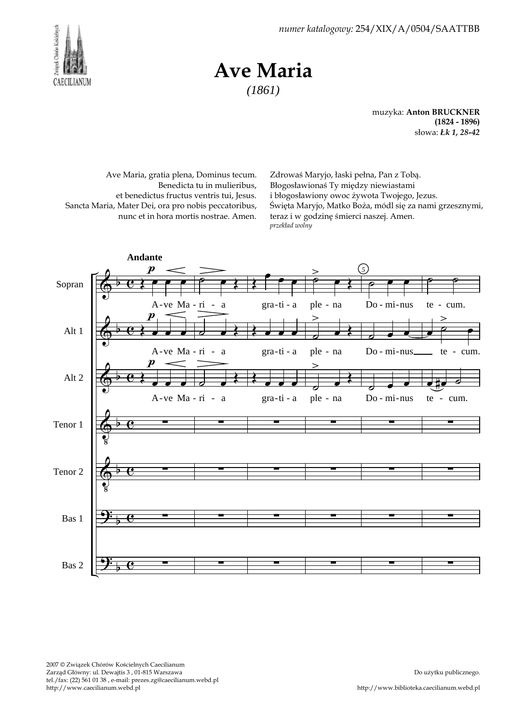2007 © Związek Chórów Kościelnych Caecilianum Zarząd Główny: ul. Dewajtis 3 , 01-815 Warszawa tel./fax: (22) 561 01 38 , e-mail: prezes.zg@caecilianum.webd.pl http://www.caecilianum.webd.pl

Do użytku publicznego.



muzyka: Anton BRUCKNER

(1824 - 1896) słowa: Łk 1, 28-42

Ave Maria, gratia plena, Dominus tecum. Benedicta tu in mulieribus, et benedictus fructus ventris tui, Jesus. Sancta Maria, Mater Dei, ora pro nobis peccatoribus, nunc et in hora mortis nostrae. Amen.

Zdrowaś Maryjo, łaski pełna, Pan z Tobą. Błogosławionaś Ty między niewiastami i błogosławiony owoc żywota Twojego, Jezus. Święta Maryjo, Matko Boża, módl się za nami grzesznymi, teraz i w godzinę śmierci naszej. Amen. przekład wolny





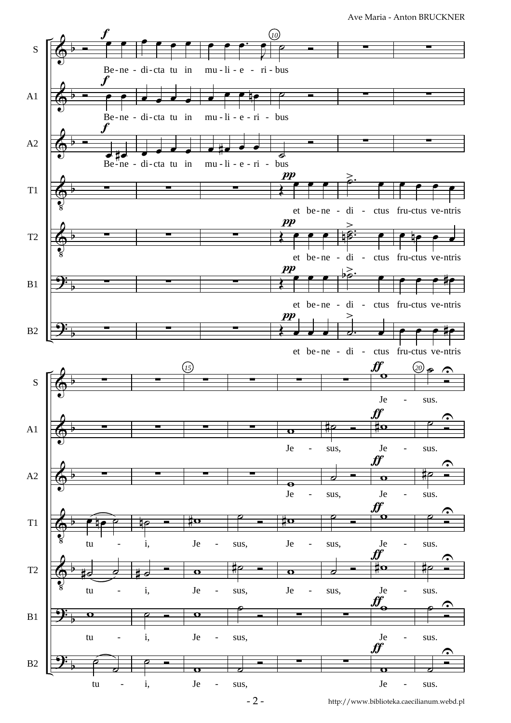Ave Maria - Anton BRUCKNER



http://www.biblioteka.caecilianum.webd.pl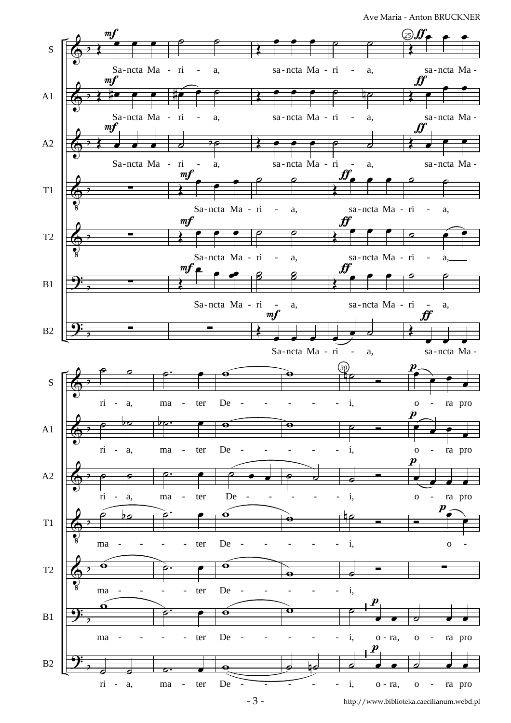Ave Maria - Anton BRUCKNER

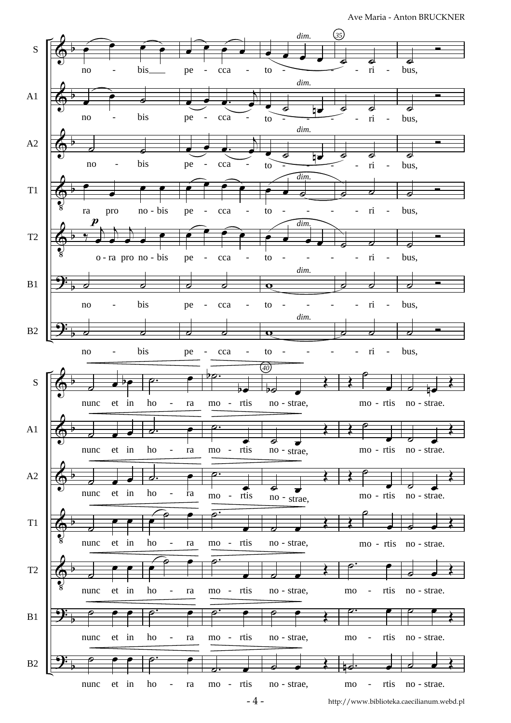

 $-4-$ 

http://www.biblioteka.caecilianum.webd.pl